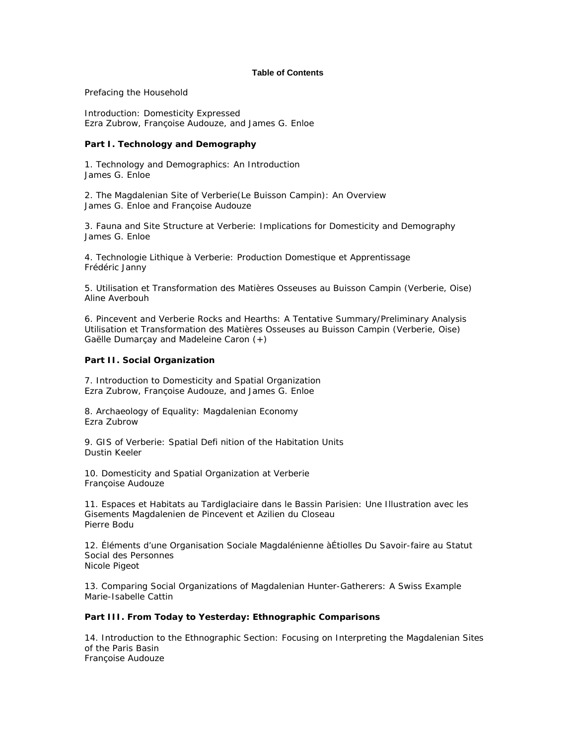## **Table of Contents**

Prefacing the Household

Introduction: Domesticity Expressed *Ezra Zubrow, Françoise Audouze, and James G. Enloe*

## **Part I. Technology and Demography**

1. Technology and Demographics: An Introduction *James G. Enloe*

2. The Magdalenian Site of Verberie(Le Buisson Campin): An Overview *James G. Enloe and Françoise Audouze*

3. Fauna and Site Structure at Verberie: Implications for Domesticity and Demography *James G. Enloe*

4. Technologie Lithique à Verberie: Production Domestique et Apprentissage *Frédéric Janny*

5. Utilisation et Transformation des Matières Osseuses au Buisson Campin (Verberie, Oise) *Aline Averbouh*

6. Pincevent and Verberie Rocks and Hearths: A Tentative Summary/Preliminary Analysis Utilisation et Transformation des Matières Osseuses au Buisson Campin (Verberie, Oise) *Gaëlle Dumarçay and Madeleine Caron (+)*

## **Part II. Social Organization**

7. Introduction to Domesticity and Spatial Organization *Ezra Zubrow, Françoise Audouze, and James G. Enloe*

8. Archaeology of Equality: Magdalenian Economy *Ezra Zubrow*

9. GIS of Verberie: Spatial Defi nition of the Habitation Units *Dustin Keeler*

10. Domesticity and Spatial Organization at Verberie *Françoise Audouze*

11. Espaces et Habitats au Tardiglaciaire dans le Bassin Parisien: Une Illustration avec les Gisements Magdalenien de Pincevent et Azilien du Closeau *Pierre Bodu*

12. Éléments d'une Organisation Sociale Magdalénienne àÉtiolles Du Savoir-faire au Statut Social des Personnes *Nicole Pigeot*

13. Comparing Social Organizations of Magdalenian Hunter-Gatherers: A Swiss Example *Marie-Isabelle Cattin*

## **Part III. From Today to Yesterday: Ethnographic Comparisons**

14. Introduction to the Ethnographic Section: Focusing on Interpreting the Magdalenian Sites of the Paris Basin *Françoise Audouze*